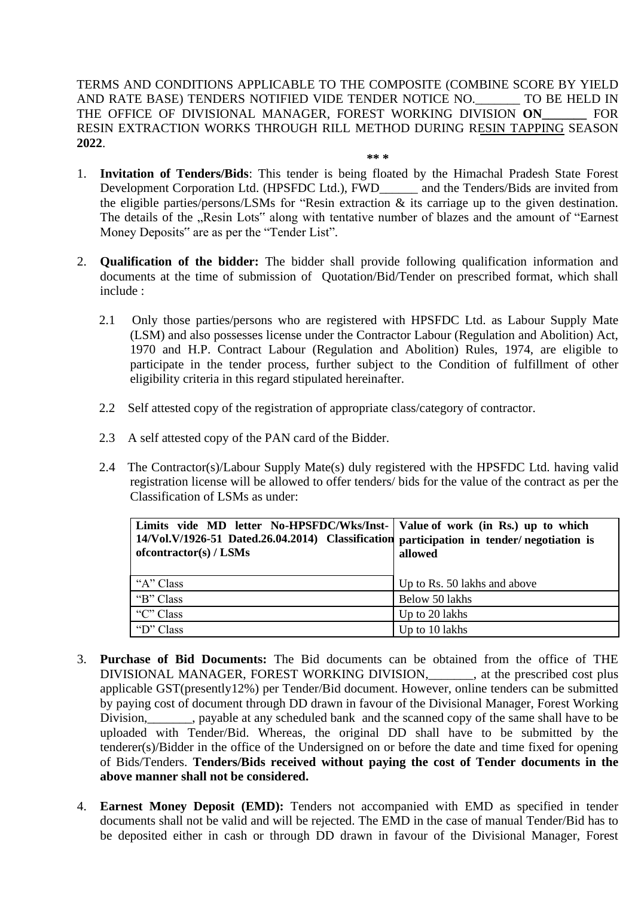TERMS AND CONDITIONS APPLICABLE TO THE COMPOSITE (COMBINE SCORE BY YIELD AND RATE BASE) TENDERS NOTIFIED VIDE TENDER NOTICE NO.\_\_\_\_\_\_\_ TO BE HELD IN THE OFFICE OF DIVISIONAL MANAGER, FOREST WORKING DIVISION **ON\_\_\_\_\_\_\_** FOR RESIN EXTRACTION WORKS THROUGH RILL METHOD DURING RESIN TAPPING SEASON **2022**.

- **\*\* \***
- 1. **Invitation of Tenders/Bids**: This tender is being floated by the Himachal Pradesh State Forest Development Corporation Ltd. (HPSFDC Ltd.), FWD\_\_\_\_\_\_ and the Tenders/Bids are invited from the eligible parties/persons/LSMs for "Resin extraction & its carriage up to the given destination. The details of the ...Resin Lots" along with tentative number of blazes and the amount of "Earnest" Money Deposits" are as per the "Tender List".
- 2. **Qualification of the bidder:** The bidder shall provide following qualification information and documents at the time of submission of Quotation/Bid/Tender on prescribed format, which shall include :
	- 2.1 Only those parties/persons who are registered with HPSFDC Ltd. as Labour Supply Mate (LSM) and also possesses license under the Contractor Labour (Regulation and Abolition) Act, 1970 and H.P. Contract Labour (Regulation and Abolition) Rules, 1974, are eligible to participate in the tender process, further subject to the Condition of fulfillment of other eligibility criteria in this regard stipulated hereinafter.
	- 2.2 Self attested copy of the registration of appropriate class/category of contractor.
	- 2.3 A self attested copy of the PAN card of the Bidder.
	- 2.4 The Contractor(s)/Labour Supply Mate(s) duly registered with the HPSFDC Ltd. having valid registration license will be allowed to offer tenders/ bids for the value of the contract as per the Classification of LSMs as under:

| Limits vide MD letter No-HPSFDC/Wks/Inst-   Value of work (in Rs.) up to which<br>14/Vol.V/1926-51 Dated.26.04.2014) Classification participation in tender/negotiation is<br>of contractor(s) / LSMs | allowed                      |
|-------------------------------------------------------------------------------------------------------------------------------------------------------------------------------------------------------|------------------------------|
| "A" Class                                                                                                                                                                                             | Up to Rs. 50 lakhs and above |
| "B" Class                                                                                                                                                                                             | Below 50 lakhs               |
| "C" Class                                                                                                                                                                                             | Up to 20 lakhs               |
| "D" Class                                                                                                                                                                                             | Up to 10 lakhs               |

- 3. **Purchase of Bid Documents:** The Bid documents can be obtained from the office of THE DIVISIONAL MANAGER, FOREST WORKING DIVISION,\_\_\_\_\_\_\_, at the prescribed cost plus applicable GST(presently12%) per Tender/Bid document. However, online tenders can be submitted by paying cost of document through DD drawn in favour of the Divisional Manager, Forest Working Division, payable at any scheduled bank and the scanned copy of the same shall have to be uploaded with Tender/Bid. Whereas, the original DD shall have to be submitted by the tenderer(s)/Bidder in the office of the Undersigned on or before the date and time fixed for opening of Bids/Tenders. **Tenders/Bids received without paying the cost of Tender documents in the above manner shall not be considered.**
- 4. **Earnest Money Deposit (EMD):** Tenders not accompanied with EMD as specified in tender documents shall not be valid and will be rejected. The EMD in the case of manual Tender/Bid has to be deposited either in cash or through DD drawn in favour of the Divisional Manager, Forest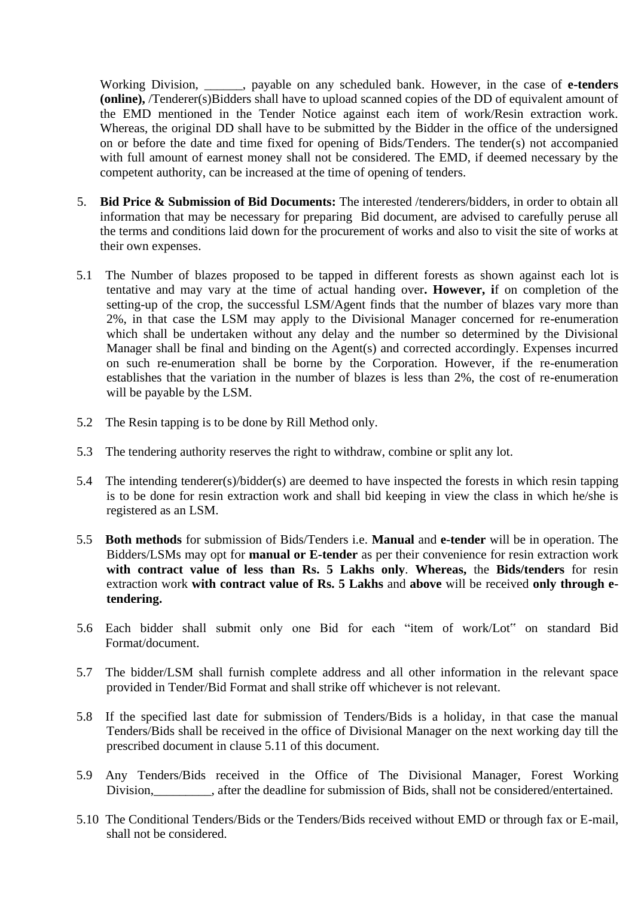Working Division, \_\_\_\_\_\_, payable on any scheduled bank. However, in the case of **e-tenders (online),** /Tenderer(s)Bidders shall have to upload scanned copies of the DD of equivalent amount of the EMD mentioned in the Tender Notice against each item of work/Resin extraction work. Whereas, the original DD shall have to be submitted by the Bidder in the office of the undersigned on or before the date and time fixed for opening of Bids/Tenders. The tender(s) not accompanied with full amount of earnest money shall not be considered. The EMD, if deemed necessary by the competent authority, can be increased at the time of opening of tenders.

- 5. **Bid Price & Submission of Bid Documents:** The interested /tenderers/bidders, in order to obtain all information that may be necessary for preparing Bid document, are advised to carefully peruse all the terms and conditions laid down for the procurement of works and also to visit the site of works at their own expenses.
- 5.1 The Number of blazes proposed to be tapped in different forests as shown against each lot is tentative and may vary at the time of actual handing over**. However, i**f on completion of the setting-up of the crop, the successful LSM/Agent finds that the number of blazes vary more than 2%, in that case the LSM may apply to the Divisional Manager concerned for re-enumeration which shall be undertaken without any delay and the number so determined by the Divisional Manager shall be final and binding on the Agent(s) and corrected accordingly. Expenses incurred on such re-enumeration shall be borne by the Corporation. However, if the re-enumeration establishes that the variation in the number of blazes is less than 2%, the cost of re-enumeration will be payable by the LSM.
- 5.2 The Resin tapping is to be done by Rill Method only.
- 5.3 The tendering authority reserves the right to withdraw, combine or split any lot.
- 5.4 The intending tenderer(s)/bidder(s) are deemed to have inspected the forests in which resin tapping is to be done for resin extraction work and shall bid keeping in view the class in which he/she is registered as an LSM.
- 5.5 **Both methods** for submission of Bids/Tenders i.e. **Manual** and **e-tender** will be in operation. The Bidders/LSMs may opt for **manual or E-tender** as per their convenience for resin extraction work **with contract value of less than Rs. 5 Lakhs only**. **Whereas,** the **Bids/tenders** for resin extraction work **with contract value of Rs. 5 Lakhs** and **above** will be received **only through etendering.**
- 5.6 Each bidder shall submit only one Bid for each "item of work/Lot" on standard Bid Format/document.
- 5.7 The bidder/LSM shall furnish complete address and all other information in the relevant space provided in Tender/Bid Format and shall strike off whichever is not relevant.
- 5.8 If the specified last date for submission of Tenders/Bids is a holiday, in that case the manual Tenders/Bids shall be received in the office of Divisional Manager on the next working day till the prescribed document in clause 5.11 of this document.
- 5.9 Any Tenders/Bids received in the Office of The Divisional Manager, Forest Working Division, after the deadline for submission of Bids, shall not be considered/entertained.
- 5.10 The Conditional Tenders/Bids or the Tenders/Bids received without EMD or through fax or E-mail, shall not be considered.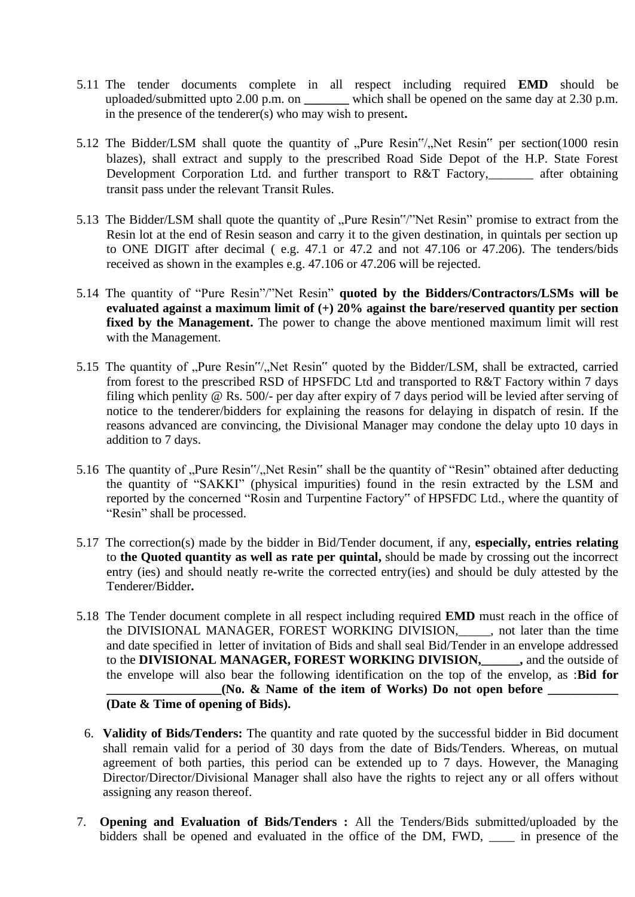- 5.11 The tender documents complete in all respect including required **EMD** should be uploaded/submitted upto 2.00 p.m. on **\_\_\_\_\_\_\_** which shall be opened on the same day at 2.30 p.m. in the presence of the tenderer(s) who may wish to present**.**
- 5.12 The Bidder/LSM shall quote the quantity of "Pure Resin"/"Net Resin" per section(1000 resin blazes), shall extract and supply to the prescribed Road Side Depot of the H.P. State Forest Development Corporation Ltd. and further transport to R&T Factory, after obtaining transit pass under the relevant Transit Rules.
- 5.13 The Bidder/LSM shall quote the quantity of "Pure Resin"/"Net Resin" promise to extract from the Resin lot at the end of Resin season and carry it to the given destination, in quintals per section up to ONE DIGIT after decimal ( e.g. 47.1 or 47.2 and not 47.106 or 47.206). The tenders/bids received as shown in the examples e.g. 47.106 or 47.206 will be rejected.
- 5.14 The quantity of "Pure Resin"/"Net Resin" **quoted by the Bidders/Contractors/LSMs will be evaluated against a maximum limit of (+) 20% against the bare/reserved quantity per section fixed by the Management.** The power to change the above mentioned maximum limit will rest with the Management.
- 5.15 The quantity of "Pure Resin"/"Net Resin" quoted by the Bidder/LSM, shall be extracted, carried from forest to the prescribed RSD of HPSFDC Ltd and transported to R&T Factory within 7 days filing which penlity @ Rs. 500/- per day after expiry of 7 days period will be levied after serving of notice to the tenderer/bidders for explaining the reasons for delaying in dispatch of resin. If the reasons advanced are convincing, the Divisional Manager may condone the delay upto 10 days in addition to 7 days.
- 5.16 The quantity of "Pure Resin"/"Net Resin" shall be the quantity of "Resin" obtained after deducting the quantity of "SAKKI" (physical impurities) found in the resin extracted by the LSM and reported by the concerned "Rosin and Turpentine Factory" of HPSFDC Ltd., where the quantity of "Resin" shall be processed.
- 5.17 The correction(s) made by the bidder in Bid/Tender document, if any, **especially, entries relating** to **the Quoted quantity as well as rate per quintal,** should be made by crossing out the incorrect entry (ies) and should neatly re-write the corrected entry(ies) and should be duly attested by the Tenderer/Bidder**.**
- 5.18 The Tender document complete in all respect including required **EMD** must reach in the office of the DIVISIONAL MANAGER, FOREST WORKING DIVISION,\_\_\_\_\_, not later than the time and date specified in letter of invitation of Bids and shall seal Bid/Tender in an envelope addressed to the **DIVISIONAL MANAGER, FOREST WORKING DIVISION,\_\_\_\_\_\_,** and the outside of the envelope will also bear the following identification on the top of the envelop, as :**Bid for \_\_\_\_\_\_\_\_\_\_\_\_\_\_\_\_\_\_(No. & Name of the item of Works) Do not open before \_\_\_\_\_\_\_\_\_\_\_ (Date & Time of opening of Bids).**
- 6. **Validity of Bids/Tenders:** The quantity and rate quoted by the successful bidder in Bid document shall remain valid for a period of 30 days from the date of Bids/Tenders. Whereas, on mutual agreement of both parties, this period can be extended up to 7 days. However, the Managing Director/Director/Divisional Manager shall also have the rights to reject any or all offers without assigning any reason thereof.
- 7. **Opening and Evaluation of Bids/Tenders :** All the Tenders/Bids submitted/uploaded by the bidders shall be opened and evaluated in the office of the DM, FWD, \_\_\_\_\_ in presence of the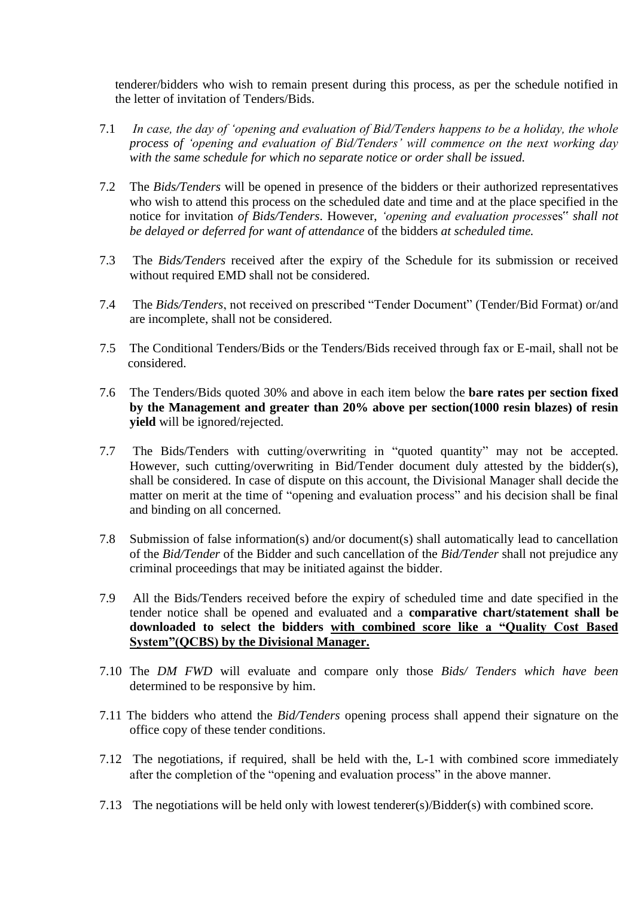tenderer/bidders who wish to remain present during this process, as per the schedule notified in the letter of invitation of Tenders/Bids.

- 7.1 *In case, the day of 'opening and evaluation of Bid/Tenders happens to be a holiday, the whole process of 'opening and evaluation of Bid/Tenders' will commence on the next working day with the same schedule for which no separate notice or order shall be issued.*
- 7.2 The *Bids/Tenders* will be opened in presence of the bidders or their authorized representatives who wish to attend this process on the scheduled date and time and at the place specified in the notice for invitation *of Bids/Tenders*. However, *'opening and evaluation process*es" *shall not be delayed or deferred for want of attendance* of the bidders *at scheduled time.*
- 7.3 The *Bids/Tenders* received after the expiry of the Schedule for its submission or received without required EMD shall not be considered.
- 7.4 The *Bids/Tenders*, not received on prescribed "Tender Document" (Tender/Bid Format) or/and are incomplete, shall not be considered.
- 7.5 The Conditional Tenders/Bids or the Tenders/Bids received through fax or E-mail, shall not be considered.
- 7.6 The Tenders/Bids quoted 30% and above in each item below the **bare rates per section fixed by the Management and greater than 20% above per section(1000 resin blazes) of resin yield** will be ignored/rejected.
- 7.7 The Bids/Tenders with cutting/overwriting in "quoted quantity" may not be accepted. However, such cutting/overwriting in Bid/Tender document duly attested by the bidder(s), shall be considered. In case of dispute on this account, the Divisional Manager shall decide the matter on merit at the time of "opening and evaluation process" and his decision shall be final and binding on all concerned.
- 7.8 Submission of false information(s) and/or document(s) shall automatically lead to cancellation of the *Bid/Tender* of the Bidder and such cancellation of the *Bid/Tender* shall not prejudice any criminal proceedings that may be initiated against the bidder.
- 7.9 All the Bids/Tenders received before the expiry of scheduled time and date specified in the tender notice shall be opened and evaluated and a **comparative chart/statement shall be downloaded to select the bidders with combined score like a "Quality Cost Based System"(QCBS) by the Divisional Manager.**
- 7.10 The *DM FWD* will evaluate and compare only those *Bids/ Tenders which have been* determined to be responsive by him.
- 7.11 The bidders who attend the *Bid/Tenders* opening process shall append their signature on the office copy of these tender conditions.
- 7.12 The negotiations, if required, shall be held with the, L-1 with combined score immediately after the completion of the "opening and evaluation process" in the above manner.
- 7.13 The negotiations will be held only with lowest tenderer(s)/Bidder(s) with combined score.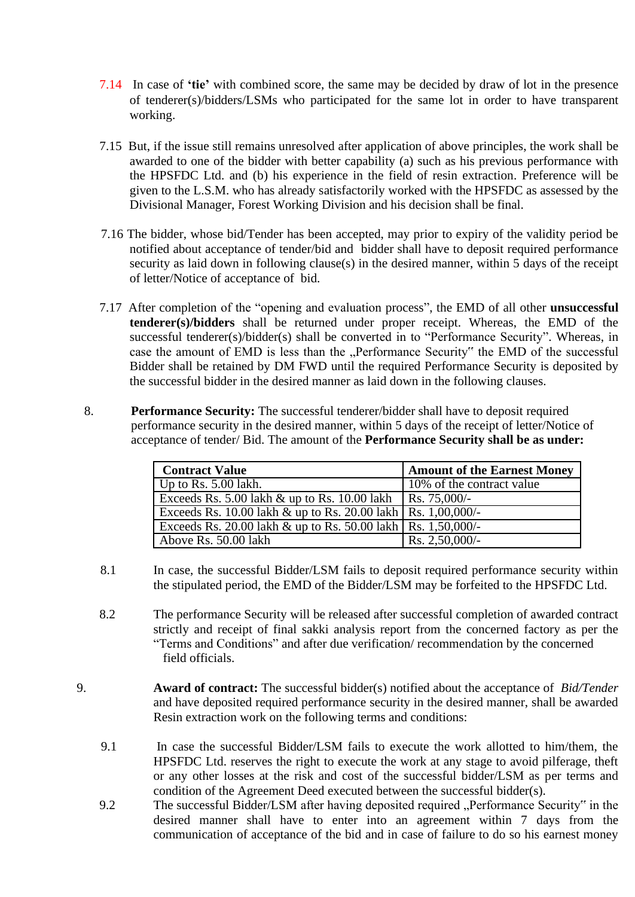- 7.14 In case of **'tie'** with combined score, the same may be decided by draw of lot in the presence of tenderer(s)/bidders/LSMs who participated for the same lot in order to have transparent working.
- 7.15 But, if the issue still remains unresolved after application of above principles, the work shall be awarded to one of the bidder with better capability (a) such as his previous performance with the HPSFDC Ltd. and (b) his experience in the field of resin extraction. Preference will be given to the L.S.M. who has already satisfactorily worked with the HPSFDC as assessed by the Divisional Manager, Forest Working Division and his decision shall be final.
- 7.16 The bidder, whose bid/Tender has been accepted, may prior to expiry of the validity period be notified about acceptance of tender/bid and bidder shall have to deposit required performance security as laid down in following clause(s) in the desired manner, within 5 days of the receipt of letter/Notice of acceptance of bid.
- 7.17 After completion of the "opening and evaluation process", the EMD of all other **unsuccessful tenderer(s)/bidders** shall be returned under proper receipt. Whereas, the EMD of the successful tenderer(s)/bidder(s) shall be converted in to "Performance Security". Whereas, in case the amount of EMD is less than the "Performance Security" the EMD of the successful Bidder shall be retained by DM FWD until the required Performance Security is deposited by the successful bidder in the desired manner as laid down in the following clauses.
- 8. **Performance Security:** The successful tenderer/bidder shall have to deposit required performance security in the desired manner, within 5 days of the receipt of letter/Notice of acceptance of tender/ Bid. The amount of the **Performance Security shall be as under:**

| <b>Contract Value</b>                                          | <b>Amount of the Earnest Money</b> |
|----------------------------------------------------------------|------------------------------------|
| Up to Rs. $5.00$ lakh.                                         | 10% of the contract value          |
| Exceeds Rs. 5.00 lakh & up to Rs. 10.00 lakh   Rs. 75,000/-    |                                    |
| Exceeds Rs. 10.00 lakh & up to Rs. 20.00 lakh   Rs. 1,00,000/- |                                    |
| Exceeds Rs. 20.00 lakh & up to Rs. 50.00 lakh   Rs. 1,50,000/- |                                    |
| Above Rs. 50.00 lakh                                           | $Rs. 2,50,000/$ -                  |

- 8.1 In case, the successful Bidder/LSM fails to deposit required performance security within the stipulated period, the EMD of the Bidder/LSM may be forfeited to the HPSFDC Ltd.
- 8.2 The performance Security will be released after successful completion of awarded contract strictly and receipt of final sakki analysis report from the concerned factory as per the "Terms and Conditions" and after due verification/ recommendation by the concerned field officials.
- 9. **Award of contract:** The successful bidder(s) notified about the acceptance of *Bid/Tender* and have deposited required performance security in the desired manner, shall be awarded Resin extraction work on the following terms and conditions:
	- 9.1 In case the successful Bidder/LSM fails to execute the work allotted to him/them, the HPSFDC Ltd. reserves the right to execute the work at any stage to avoid pilferage, theft or any other losses at the risk and cost of the successful bidder/LSM as per terms and condition of the Agreement Deed executed between the successful bidder(s).
	- 9.2 The successful Bidder/LSM after having deposited required "Performance Security" in the desired manner shall have to enter into an agreement within 7 days from the communication of acceptance of the bid and in case of failure to do so his earnest money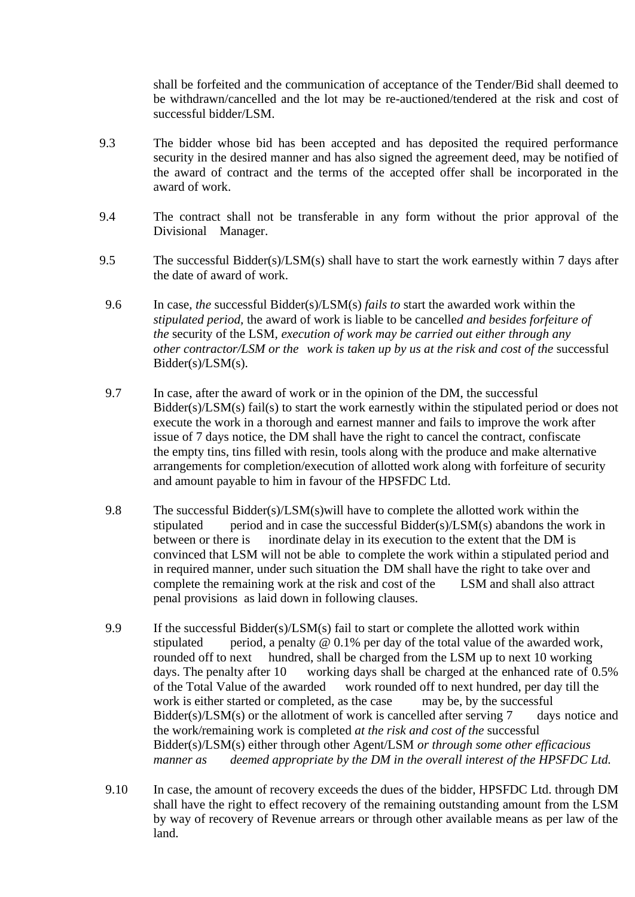shall be forfeited and the communication of acceptance of the Tender/Bid shall deemed to be withdrawn/cancelled and the lot may be re-auctioned/tendered at the risk and cost of successful bidder/LSM.

- 9.3 The bidder whose bid has been accepted and has deposited the required performance security in the desired manner and has also signed the agreement deed, may be notified of the award of contract and the terms of the accepted offer shall be incorporated in the award of work.
- 9.4 The contract shall not be transferable in any form without the prior approval of the Divisional Manager.
- 9.5 The successful Bidder(s)/LSM(s) shall have to start the work earnestly within 7 days after the date of award of work.
- 9.6 In case, *the* successful Bidder(s)/LSM(s) *fails to* start the awarded work within the *stipulated period,* the award of work is liable to be cancelle*d and besides forfeiture of the* security of the LSM*, execution of work may be carried out either through any other contractor/LSM or the work is taken up by us at the risk and cost of the successful* Bidder(s)/LSM(s).
- 9.7 In case, after the award of work or in the opinion of the DM, the successful Bidder(s)/LSM(s) fail(s) to start the work earnestly within the stipulated period or does not execute the work in a thorough and earnest manner and fails to improve the work after issue of 7 days notice, the DM shall have the right to cancel the contract, confiscate the empty tins, tins filled with resin, tools along with the produce and make alternative arrangements for completion/execution of allotted work along with forfeiture of security and amount payable to him in favour of the HPSFDC Ltd.
- 9.8 The successful Bidder(s)/LSM(s)will have to complete the allotted work within the stipulated period and in case the successful Bidder(s)/LSM(s) abandons the work in between or there is inordinate delay in its execution to the extent that the DM is convinced that LSM will not be able to complete the work within a stipulated period and in required manner, under such situation the DM shall have the right to take over and complete the remaining work at the risk and cost of the LSM and shall also attract penal provisions as laid down in following clauses.
- 9.9 If the successful Bidder(s)/LSM(s) fail to start or complete the allotted work within stipulated period, a penalty @ 0.1% per day of the total value of the awarded work, rounded off to next hundred, shall be charged from the LSM up to next 10 working days. The penalty after 10 working days shall be charged at the enhanced rate of 0.5% of the Total Value of the awarded work rounded off to next hundred, per day till the work is either started or completed, as the case may be, by the successful Bidder(s)/LSM(s) or the allotment of work is cancelled after serving 7 days notice and the work/remaining work is completed *at the risk and cost of the* successful Bidder(s)/LSM(s) either through other Agent/LSM *or through some other efficacious manner as deemed appropriate by the DM in the overall interest of the HPSFDC Ltd.*
- 9.10 In case, the amount of recovery exceeds the dues of the bidder, HPSFDC Ltd. through DM shall have the right to effect recovery of the remaining outstanding amount from the LSM by way of recovery of Revenue arrears or through other available means as per law of the land.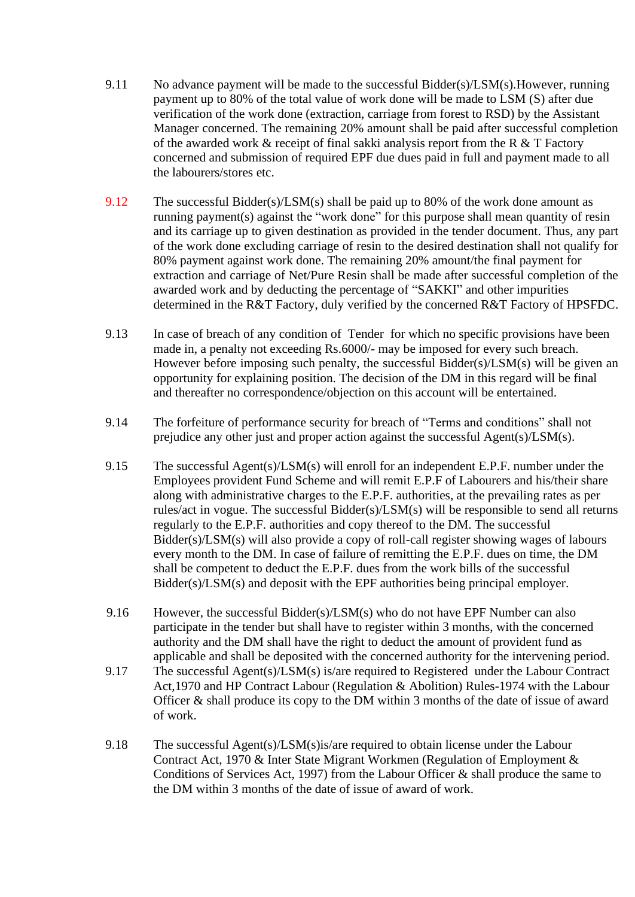- 9.11 No advance payment will be made to the successful Bidder(s)/LSM(s). However, running payment up to 80% of the total value of work done will be made to LSM (S) after due verification of the work done (extraction, carriage from forest to RSD) by the Assistant Manager concerned. The remaining 20% amount shall be paid after successful completion of the awarded work & receipt of final sakki analysis report from the R & T Factory concerned and submission of required EPF due dues paid in full and payment made to all the labourers/stores etc.
- 9.12 The successful Bidder(s)/LSM(s) shall be paid up to 80% of the work done amount as running payment(s) against the "work done" for this purpose shall mean quantity of resin and its carriage up to given destination as provided in the tender document. Thus, any part of the work done excluding carriage of resin to the desired destination shall not qualify for 80% payment against work done. The remaining 20% amount/the final payment for extraction and carriage of Net/Pure Resin shall be made after successful completion of the awarded work and by deducting the percentage of "SAKKI" and other impurities determined in the R&T Factory, duly verified by the concerned R&T Factory of HPSFDC.
- 9.13 In case of breach of any condition of Tender for which no specific provisions have been made in, a penalty not exceeding Rs.6000/- may be imposed for every such breach. However before imposing such penalty, the successful Bidder(s)/LSM(s) will be given an opportunity for explaining position. The decision of the DM in this regard will be final and thereafter no correspondence/objection on this account will be entertained.
- 9.14 The forfeiture of performance security for breach of "Terms and conditions" shall not prejudice any other just and proper action against the successful Agent(s)/LSM(s).
- 9.15 The successful Agent(s)/LSM(s) will enroll for an independent E.P.F. number under the Employees provident Fund Scheme and will remit E.P.F of Labourers and his/their share along with administrative charges to the E.P.F. authorities, at the prevailing rates as per rules/act in vogue. The successful Bidder(s)/LSM(s) will be responsible to send all returns regularly to the E.P.F. authorities and copy thereof to the DM. The successful Bidder(s)/LSM(s) will also provide a copy of roll-call register showing wages of labours every month to the DM. In case of failure of remitting the E.P.F. dues on time, the DM shall be competent to deduct the E.P.F. dues from the work bills of the successful Bidder(s)/LSM(s) and deposit with the EPF authorities being principal employer.
- 9.16 However, the successful Bidder(s)/LSM(s) who do not have EPF Number can also participate in the tender but shall have to register within 3 months, with the concerned authority and the DM shall have the right to deduct the amount of provident fund as applicable and shall be deposited with the concerned authority for the intervening period.
- 9.17 The successful Agent(s)/LSM(s) is/are required to Registered under the Labour Contract Act,1970 and HP Contract Labour (Regulation & Abolition) Rules-1974 with the Labour Officer & shall produce its copy to the DM within 3 months of the date of issue of award of work.
- 9.18 The successful Agent(s)/LSM(s)is/are required to obtain license under the Labour Contract Act, 1970 & Inter State Migrant Workmen (Regulation of Employment & Conditions of Services Act, 1997) from the Labour Officer & shall produce the same to the DM within 3 months of the date of issue of award of work.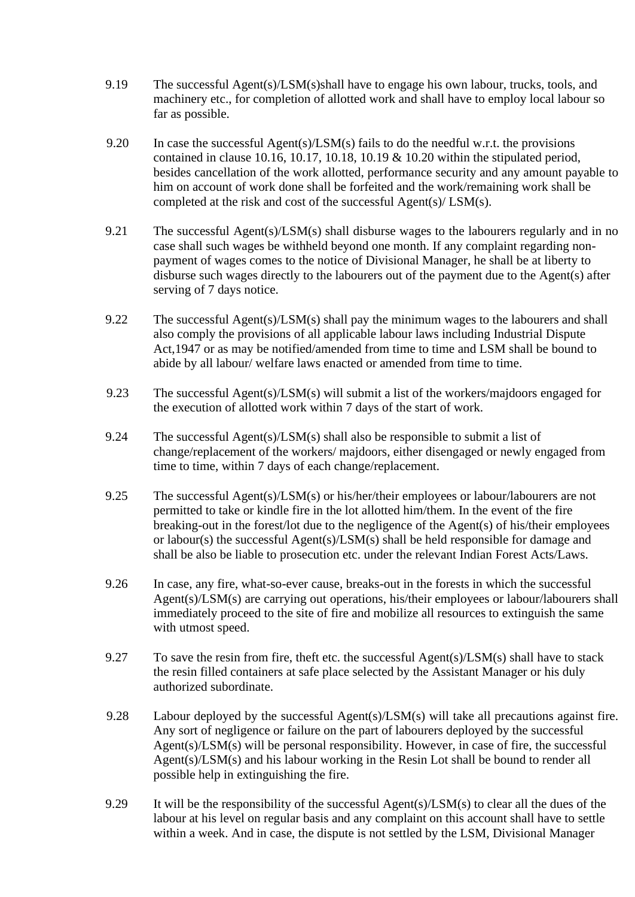- 9.19 The successful Agent(s)/LSM(s)shall have to engage his own labour, trucks, tools, and machinery etc., for completion of allotted work and shall have to employ local labour so far as possible.
- 9.20 In case the successful Agent(s)/LSM(s) fails to do the needful w.r.t. the provisions contained in clause 10.16, 10.17, 10.18, 10.19 & 10.20 within the stipulated period, besides cancellation of the work allotted, performance security and any amount payable to him on account of work done shall be forfeited and the work/remaining work shall be completed at the risk and cost of the successful Agent(s)/ LSM(s).
- 9.21 The successful Agent(s)/LSM(s) shall disburse wages to the labourers regularly and in no case shall such wages be withheld beyond one month. If any complaint regarding nonpayment of wages comes to the notice of Divisional Manager, he shall be at liberty to disburse such wages directly to the labourers out of the payment due to the Agent(s) after serving of 7 days notice.
- 9.22 The successful Agent(s)/LSM(s) shall pay the minimum wages to the labourers and shall also comply the provisions of all applicable labour laws including Industrial Dispute Act,1947 or as may be notified/amended from time to time and LSM shall be bound to abide by all labour/ welfare laws enacted or amended from time to time.
- 9.23 The successful Agent(s)/LSM(s) will submit a list of the workers/majdoors engaged for the execution of allotted work within 7 days of the start of work.
- 9.24 The successful Agent(s)/LSM(s) shall also be responsible to submit a list of change/replacement of the workers/ majdoors, either disengaged or newly engaged from time to time, within 7 days of each change/replacement.
- 9.25 The successful Agent(s)/LSM(s) or his/her/their employees or labour/labourers are not permitted to take or kindle fire in the lot allotted him/them. In the event of the fire breaking-out in the forest/lot due to the negligence of the Agent(s) of his/their employees or labour(s) the successful Agent(s)/LSM(s) shall be held responsible for damage and shall be also be liable to prosecution etc. under the relevant Indian Forest Acts/Laws.
- 9.26 In case, any fire, what-so-ever cause, breaks-out in the forests in which the successful Agent(s)/LSM(s) are carrying out operations, his/their employees or labour/labourers shall immediately proceed to the site of fire and mobilize all resources to extinguish the same with utmost speed.
- 9.27 To save the resin from fire, theft etc. the successful Agent(s)/LSM(s) shall have to stack the resin filled containers at safe place selected by the Assistant Manager or his duly authorized subordinate.
- 9.28 Labour deployed by the successful Agent(s)/LSM(s) will take all precautions against fire. Any sort of negligence or failure on the part of labourers deployed by the successful Agent(s)/LSM(s) will be personal responsibility. However, in case of fire, the successful Agent(s)/LSM(s) and his labour working in the Resin Lot shall be bound to render all possible help in extinguishing the fire.
- 9.29 It will be the responsibility of the successful Agent(s)/LSM(s) to clear all the dues of the labour at his level on regular basis and any complaint on this account shall have to settle within a week. And in case, the dispute is not settled by the LSM, Divisional Manager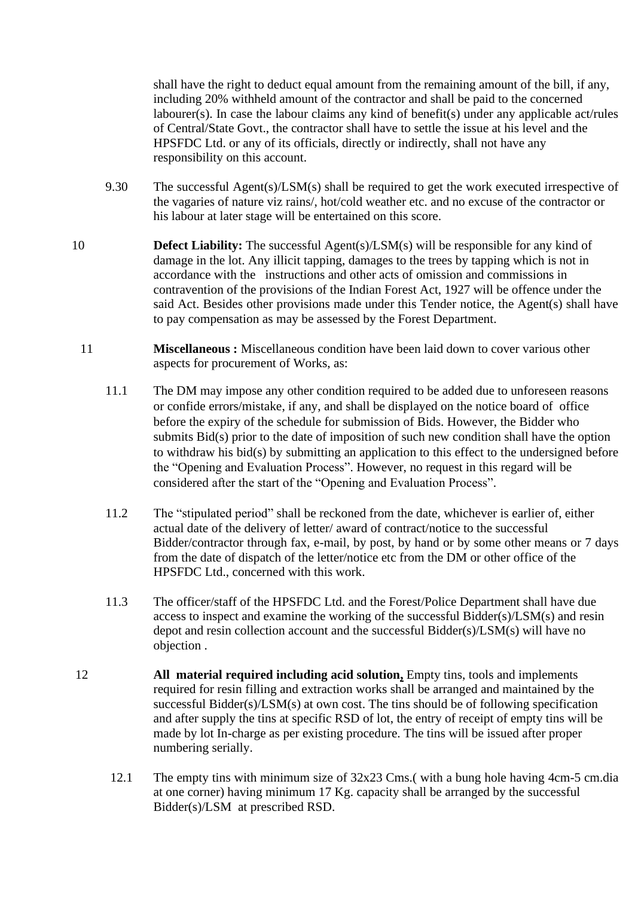shall have the right to deduct equal amount from the remaining amount of the bill, if any, including 20% withheld amount of the contractor and shall be paid to the concerned labourer(s). In case the labour claims any kind of benefit(s) under any applicable act/rules of Central/State Govt., the contractor shall have to settle the issue at his level and the HPSFDC Ltd. or any of its officials, directly or indirectly, shall not have any responsibility on this account.

- 9.30 The successful Agent(s)/LSM(s) shall be required to get the work executed irrespective of the vagaries of nature viz rains/, hot/cold weather etc. and no excuse of the contractor or his labour at later stage will be entertained on this score.
- 10 **Defect Liability:** The successful Agent(s)/LSM(s) will be responsible for any kind of damage in the lot. Any illicit tapping, damages to the trees by tapping which is not in accordance with the instructions and other acts of omission and commissions in contravention of the provisions of the Indian Forest Act, 1927 will be offence under the said Act. Besides other provisions made under this Tender notice, the Agent(s) shall have to pay compensation as may be assessed by the Forest Department.
	- 11 **Miscellaneous :** Miscellaneous condition have been laid down to cover various other aspects for procurement of Works, as:
		- 11.1 The DM may impose any other condition required to be added due to unforeseen reasons or confide errors/mistake, if any, and shall be displayed on the notice board of office before the expiry of the schedule for submission of Bids. However, the Bidder who submits Bid(s) prior to the date of imposition of such new condition shall have the option to withdraw his bid(s) by submitting an application to this effect to the undersigned before the "Opening and Evaluation Process". However, no request in this regard will be considered after the start of the "Opening and Evaluation Process".
		- 11.2 The "stipulated period" shall be reckoned from the date, whichever is earlier of, either actual date of the delivery of letter/ award of contract/notice to the successful Bidder/contractor through fax, e-mail, by post, by hand or by some other means or 7 days from the date of dispatch of the letter/notice etc from the DM or other office of the HPSFDC Ltd., concerned with this work.
		- 11.3 The officer/staff of the HPSFDC Ltd. and the Forest/Police Department shall have due access to inspect and examine the working of the successful Bidder(s)/LSM(s) and resin depot and resin collection account and the successful Bidder(s)/LSM(s) will have no objection .
- 12 **All material required including acid solution,** Empty tins, tools and implements required for resin filling and extraction works shall be arranged and maintained by the successful Bidder(s)/LSM(s) at own cost. The tins should be of following specification and after supply the tins at specific RSD of lot, the entry of receipt of empty tins will be made by lot In-charge as per existing procedure. The tins will be issued after proper numbering serially.
	- 12.1 The empty tins with minimum size of 32x23 Cms.( with a bung hole having 4cm-5 cm.dia at one corner) having minimum 17 Kg. capacity shall be arranged by the successful Bidder(s)/LSM at prescribed RSD.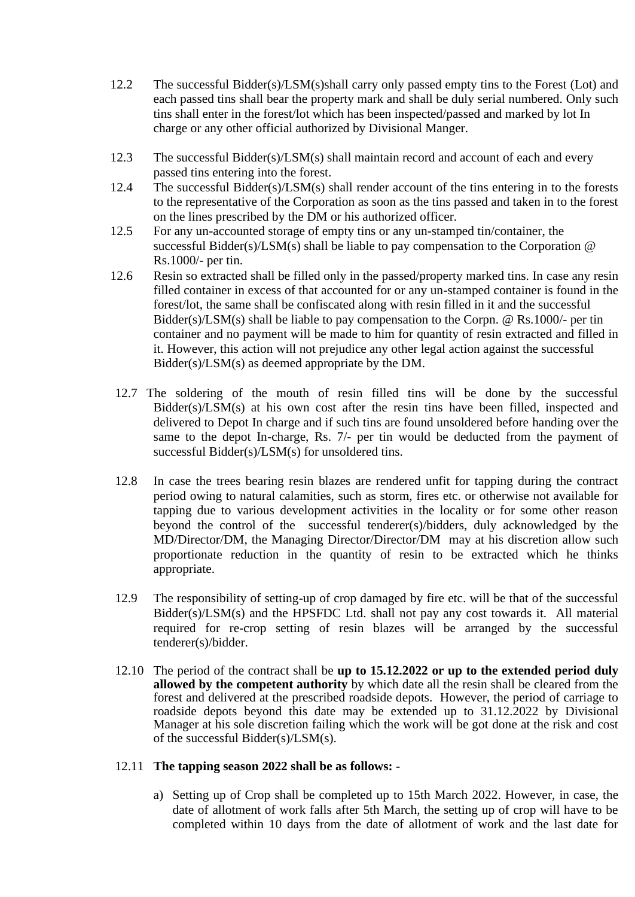- 12.2 The successful Bidder(s)/LSM(s)shall carry only passed empty tins to the Forest (Lot) and each passed tins shall bear the property mark and shall be duly serial numbered. Only such tins shall enter in the forest/lot which has been inspected/passed and marked by lot In charge or any other official authorized by Divisional Manger.
- 12.3 The successful Bidder(s)/LSM(s) shall maintain record and account of each and every passed tins entering into the forest.
- 12.4 The successful Bidder(s)/LSM(s) shall render account of the tins entering in to the forests to the representative of the Corporation as soon as the tins passed and taken in to the forest on the lines prescribed by the DM or his authorized officer.
- 12.5 For any un-accounted storage of empty tins or any un-stamped tin/container, the successful Bidder(s)/LSM(s) shall be liable to pay compensation to the Corporation @ Rs.1000/- per tin.
- 12.6 Resin so extracted shall be filled only in the passed/property marked tins. In case any resin filled container in excess of that accounted for or any un-stamped container is found in the forest/lot, the same shall be confiscated along with resin filled in it and the successful Bidder(s)/LSM(s) shall be liable to pay compensation to the Corpn. @ Rs.1000/- per tin container and no payment will be made to him for quantity of resin extracted and filled in it. However, this action will not prejudice any other legal action against the successful Bidder(s)/LSM(s) as deemed appropriate by the DM.
- 12.7 The soldering of the mouth of resin filled tins will be done by the successful Bidder(s)/LSM(s) at his own cost after the resin tins have been filled, inspected and delivered to Depot In charge and if such tins are found unsoldered before handing over the same to the depot In-charge, Rs. 7/- per tin would be deducted from the payment of successful Bidder(s)/LSM(s) for unsoldered tins.
- 12.8 In case the trees bearing resin blazes are rendered unfit for tapping during the contract period owing to natural calamities, such as storm, fires etc. or otherwise not available for tapping due to various development activities in the locality or for some other reason beyond the control of the successful tenderer(s)/bidders, duly acknowledged by the MD/Director/DM, the Managing Director/Director/DM may at his discretion allow such proportionate reduction in the quantity of resin to be extracted which he thinks appropriate.
- 12.9 The responsibility of setting-up of crop damaged by fire etc. will be that of the successful Bidder(s)/LSM(s) and the HPSFDC Ltd. shall not pay any cost towards it. All material required for re-crop setting of resin blazes will be arranged by the successful tenderer(s)/bidder.
- 12.10 The period of the contract shall be **up to 15.12.2022 or up to the extended period duly allowed by the competent authority** by which date all the resin shall be cleared from the forest and delivered at the prescribed roadside depots. However, the period of carriage to roadside depots beyond this date may be extended up to 31.12.2022 by Divisional Manager at his sole discretion failing which the work will be got done at the risk and cost of the successful Bidder(s)/LSM(s).

## 12.11 **The tapping season 2022 shall be as follows:** -

a) Setting up of Crop shall be completed up to 15th March 2022. However, in case, the date of allotment of work falls after 5th March, the setting up of crop will have to be completed within 10 days from the date of allotment of work and the last date for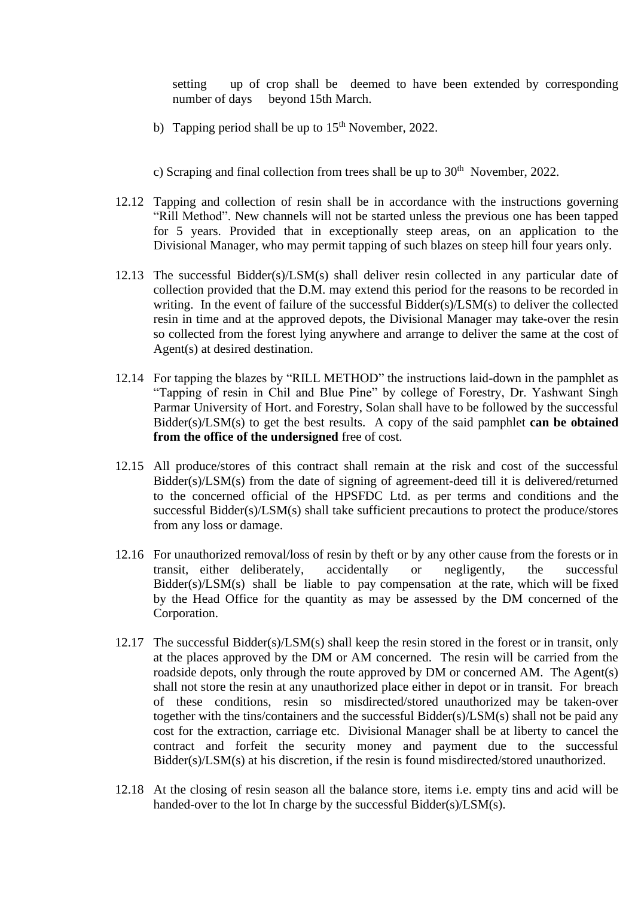setting up of crop shall be deemed to have been extended by corresponding number of days beyond 15th March.

- b) Tapping period shall be up to  $15<sup>th</sup>$  November, 2022.
- c) Scraping and final collection from trees shall be up to  $30<sup>th</sup>$  November, 2022.
- 12.12 Tapping and collection of resin shall be in accordance with the instructions governing "Rill Method". New channels will not be started unless the previous one has been tapped for 5 years. Provided that in exceptionally steep areas, on an application to the Divisional Manager, who may permit tapping of such blazes on steep hill four years only.
- 12.13 The successful Bidder(s)/LSM(s) shall deliver resin collected in any particular date of collection provided that the D.M. may extend this period for the reasons to be recorded in writing. In the event of failure of the successful Bidder(s)/LSM(s) to deliver the collected resin in time and at the approved depots, the Divisional Manager may take-over the resin so collected from the forest lying anywhere and arrange to deliver the same at the cost of Agent(s) at desired destination.
- 12.14 For tapping the blazes by "RILL METHOD" the instructions laid-down in the pamphlet as "Tapping of resin in Chil and Blue Pine" by college of Forestry, Dr. Yashwant Singh Parmar University of Hort. and Forestry, Solan shall have to be followed by the successful Bidder(s)/LSM(s) to get the best results. A copy of the said pamphlet **can be obtained from the office of the undersigned** free of cost.
- 12.15 All produce/stores of this contract shall remain at the risk and cost of the successful Bidder(s)/LSM(s) from the date of signing of agreement-deed till it is delivered/returned to the concerned official of the HPSFDC Ltd. as per terms and conditions and the successful Bidder(s)/LSM(s) shall take sufficient precautions to protect the produce/stores from any loss or damage.
- 12.16 For unauthorized removal/loss of resin by theft or by any other cause from the forests or in transit, either deliberately, accidentally or negligently, the successful Bidder(s)/LSM(s) shall be liable to pay compensation at the rate, which will be fixed by the Head Office for the quantity as may be assessed by the DM concerned of the Corporation.
- 12.17 The successful Bidder(s)/LSM(s) shall keep the resin stored in the forest or in transit, only at the places approved by the DM or AM concerned. The resin will be carried from the roadside depots, only through the route approved by DM or concerned AM. The Agent(s) shall not store the resin at any unauthorized place either in depot or in transit. For breach of these conditions, resin so misdirected/stored unauthorized may be taken-over together with the tins/containers and the successful Bidder(s)/LSM(s) shall not be paid any cost for the extraction, carriage etc. Divisional Manager shall be at liberty to cancel the contract and forfeit the security money and payment due to the successful Bidder(s)/LSM(s) at his discretion, if the resin is found misdirected/stored unauthorized.
- 12.18 At the closing of resin season all the balance store, items i.e. empty tins and acid will be handed-over to the lot In charge by the successful Bidder(s)/LSM(s).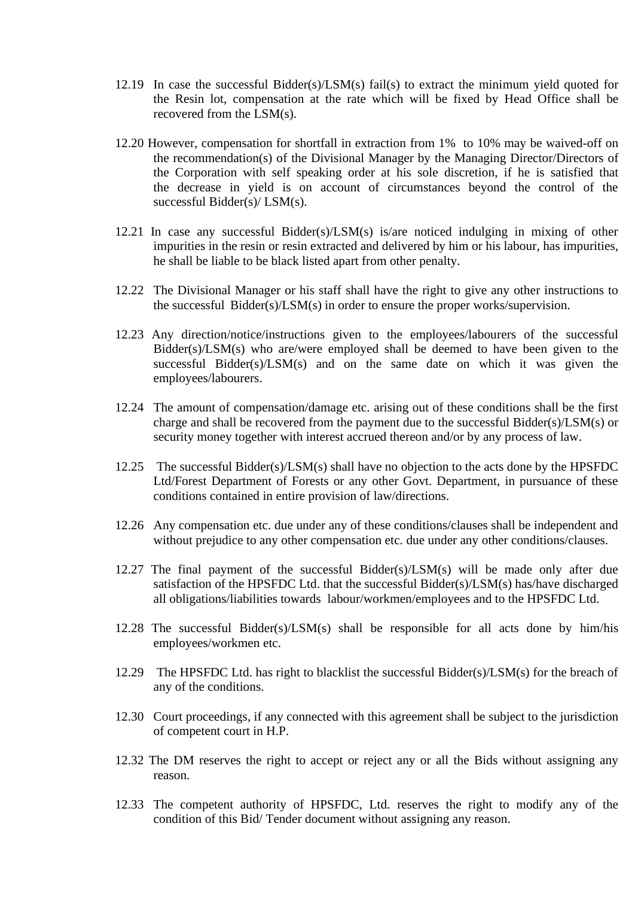- 12.19 In case the successful Bidder(s)/LSM(s) fail(s) to extract the minimum yield quoted for the Resin lot, compensation at the rate which will be fixed by Head Office shall be recovered from the LSM(s).
- 12.20 However, compensation for shortfall in extraction from 1% to 10% may be waived-off on the recommendation(s) of the Divisional Manager by the Managing Director/Directors of the Corporation with self speaking order at his sole discretion, if he is satisfied that the decrease in yield is on account of circumstances beyond the control of the successful Bidder(s)/ LSM(s).
- 12.21 In case any successful Bidder(s)/LSM(s) is/are noticed indulging in mixing of other impurities in the resin or resin extracted and delivered by him or his labour, has impurities, he shall be liable to be black listed apart from other penalty.
- 12.22 The Divisional Manager or his staff shall have the right to give any other instructions to the successful Bidder(s)/LSM(s) in order to ensure the proper works/supervision.
- 12.23 Any direction/notice/instructions given to the employees/labourers of the successful  $Bidder(s)/LSM(s)$  who are/were employed shall be deemed to have been given to the successful Bidder(s)/LSM(s) and on the same date on which it was given the employees/labourers.
- 12.24 The amount of compensation/damage etc. arising out of these conditions shall be the first charge and shall be recovered from the payment due to the successful Bidder(s)/LSM(s) or security money together with interest accrued thereon and/or by any process of law.
- 12.25 The successful Bidder(s)/LSM(s) shall have no objection to the acts done by the HPSFDC Ltd/Forest Department of Forests or any other Govt. Department, in pursuance of these conditions contained in entire provision of law/directions.
- 12.26 Any compensation etc. due under any of these conditions/clauses shall be independent and without prejudice to any other compensation etc. due under any other conditions/clauses.
- 12.27 The final payment of the successful Bidder(s)/LSM(s) will be made only after due satisfaction of the HPSFDC Ltd. that the successful Bidder(s)/LSM(s) has/have discharged all obligations/liabilities towards labour/workmen/employees and to the HPSFDC Ltd.
- 12.28 The successful Bidder(s)/LSM(s) shall be responsible for all acts done by him/his employees/workmen etc.
- 12.29 The HPSFDC Ltd. has right to blacklist the successful Bidder(s)/LSM(s) for the breach of any of the conditions.
- 12.30 Court proceedings, if any connected with this agreement shall be subject to the jurisdiction of competent court in H.P.
- 12.32 The DM reserves the right to accept or reject any or all the Bids without assigning any reason.
- 12.33 The competent authority of HPSFDC, Ltd. reserves the right to modify any of the condition of this Bid/ Tender document without assigning any reason.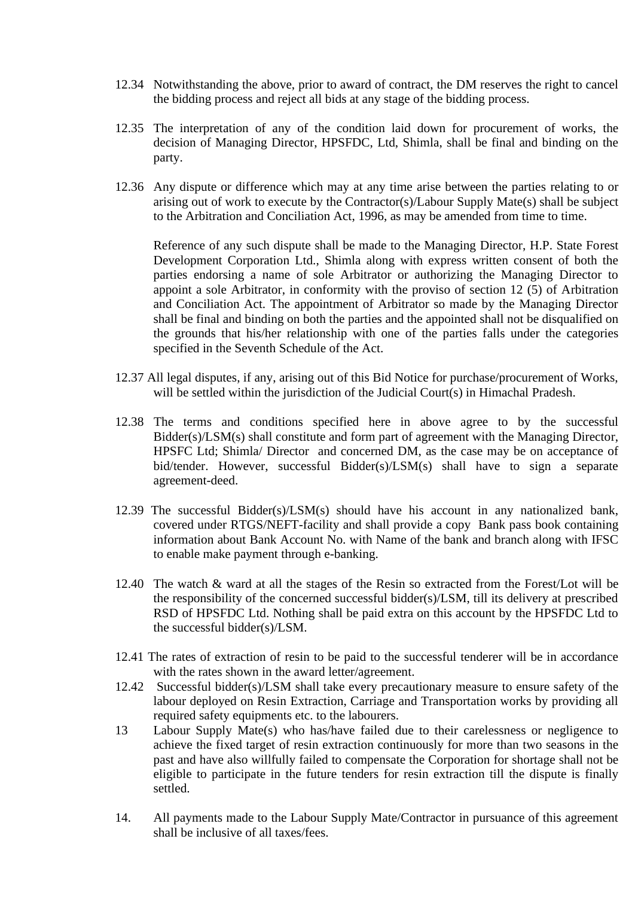- 12.34 Notwithstanding the above, prior to award of contract, the DM reserves the right to cancel the bidding process and reject all bids at any stage of the bidding process.
- 12.35 The interpretation of any of the condition laid down for procurement of works, the decision of Managing Director, HPSFDC, Ltd, Shimla, shall be final and binding on the party.
- 12.36 Any dispute or difference which may at any time arise between the parties relating to or arising out of work to execute by the Contractor(s)/Labour Supply Mate(s) shall be subject to the Arbitration and Conciliation Act, 1996, as may be amended from time to time.

Reference of any such dispute shall be made to the Managing Director, H.P. State Forest Development Corporation Ltd., Shimla along with express written consent of both the parties endorsing a name of sole Arbitrator or authorizing the Managing Director to appoint a sole Arbitrator, in conformity with the proviso of section 12  $(5)$  of Arbitration and Conciliation Act. The appointment of Arbitrator so made by the Managing Director shall be final and binding on both the parties and the appointed shall not be disqualified on the grounds that his/her relationship with one of the parties falls under the categories specified in the Seventh Schedule of the Act.

- 12.37 All legal disputes, if any, arising out of this Bid Notice for purchase/procurement of Works, will be settled within the jurisdiction of the Judicial Court(s) in Himachal Pradesh.
- 12.38 The terms and conditions specified here in above agree to by the successful Bidder(s)/LSM(s) shall constitute and form part of agreement with the Managing Director, HPSFC Ltd; Shimla/ Director and concerned DM, as the case may be on acceptance of bid/tender. However, successful Bidder(s)/LSM(s) shall have to sign a separate agreement-deed.
- 12.39 The successful Bidder(s)/LSM(s) should have his account in any nationalized bank, covered under RTGS/NEFT-facility and shall provide a copy Bank pass book containing information about Bank Account No. with Name of the bank and branch along with IFSC to enable make payment through e-banking.
- 12.40 The watch & ward at all the stages of the Resin so extracted from the Forest/Lot will be the responsibility of the concerned successful bidder(s)/LSM, till its delivery at prescribed RSD of HPSFDC Ltd. Nothing shall be paid extra on this account by the HPSFDC Ltd to the successful bidder(s)/LSM.
- 12.41 The rates of extraction of resin to be paid to the successful tenderer will be in accordance with the rates shown in the award letter/agreement.
- 12.42 Successful bidder(s)/LSM shall take every precautionary measure to ensure safety of the labour deployed on Resin Extraction, Carriage and Transportation works by providing all required safety equipments etc. to the labourers.
- 13 Labour Supply Mate(s) who has/have failed due to their carelessness or negligence to achieve the fixed target of resin extraction continuously for more than two seasons in the past and have also willfully failed to compensate the Corporation for shortage shall not be eligible to participate in the future tenders for resin extraction till the dispute is finally settled.
- 14. All payments made to the Labour Supply Mate/Contractor in pursuance of this agreement shall be inclusive of all taxes/fees.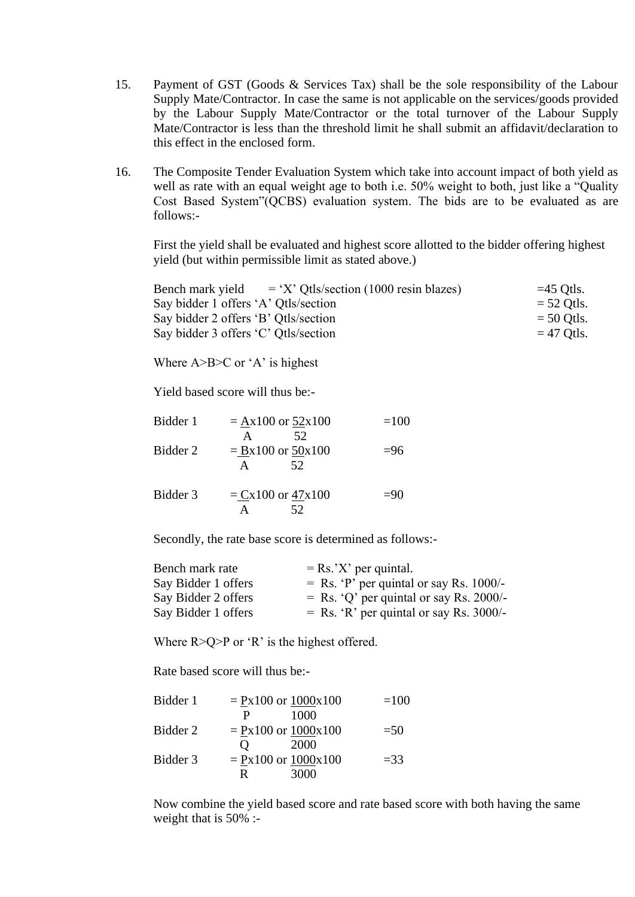- 15. Payment of GST (Goods & Services Tax) shall be the sole responsibility of the Labour Supply Mate/Contractor. In case the same is not applicable on the services/goods provided by the Labour Supply Mate/Contractor or the total turnover of the Labour Supply Mate/Contractor is less than the threshold limit he shall submit an affidavit/declaration to this effect in the enclosed form.
- 16. The Composite Tender Evaluation System which take into account impact of both yield as well as rate with an equal weight age to both i.e. 50% weight to both, just like a "Quality Cost Based System"(QCBS) evaluation system. The bids are to be evaluated as are follows:-

First the yield shall be evaluated and highest score allotted to the bidder offering highest yield (but within permissible limit as stated above.)

| Bench mark yield                     | $= 'X'$ Qtls/section (1000 resin blazes) | $=45$ Otls.  |
|--------------------------------------|------------------------------------------|--------------|
| Say bidder 1 offers 'A' Qtls/section |                                          | $=$ 52 Qtls. |
| Say bidder 2 offers 'B' Qtls/section |                                          | $=$ 50 Qtls. |
| Say bidder 3 offers 'C' Qtls/section |                                          | $=$ 47 Qtls. |

Where  $A > B > C$  or 'A' is highest

Yield based score will thus be:-

| Bidder 1 | $= Ax100$ or $52x100$              | $=100$ |
|----------|------------------------------------|--------|
| Bidder 2 | 52.<br>$= Bx100$ or $50x100$<br>52 | $=96$  |
| Bidder 3 | $= Cx100$ or $47x100$<br>52        | $=90$  |

Secondly, the rate base score is determined as follows:-

| Bench mark rate     | $=$ Rs.'X' per quintal.                   |
|---------------------|-------------------------------------------|
| Say Bidder 1 offers | $=$ Rs. 'P' per quintal or say Rs. 1000/- |
| Say Bidder 2 offers | $=$ Rs. 'Q' per quintal or say Rs. 2000/- |
| Say Bidder 1 offers | $=$ Rs. 'R' per quintal or say Rs. 3000/- |

Where  $R > Q > P$  or 'R' is the highest offered.

Rate based score will thus be:-

| Bidder 1 | $= Px100$ or $1000x100$   | $=100$ |
|----------|---------------------------|--------|
|          | 1000<br>P                 |        |
| Bidder 2 | $= Px100$ or $1000x100$   | $=$ 50 |
|          | 2000<br>$\mathbf{\Omega}$ |        |
| Bidder 3 | $= Px100$ or $1000x100$   | $=$ 33 |
|          | 3000<br>R                 |        |

Now combine the yield based score and rate based score with both having the same weight that is 50% :-